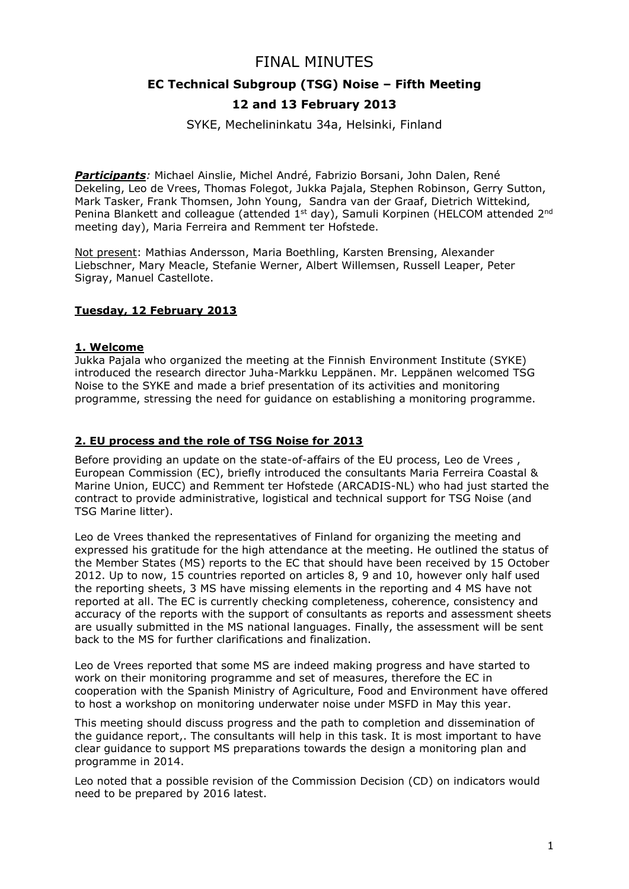# FINAL MINUTES

# **EC Technical Subgroup (TSG) Noise – Fifth Meeting 12 and 13 February 2013**

SYKE, Mechelininkatu 34a, Helsinki, Finland

*Participants:* Michael Ainslie, Michel André, Fabrizio Borsani, John Dalen, René Dekeling, Leo de Vrees, Thomas Folegot, Jukka Pajala, Stephen Robinson, Gerry Sutton, Mark Tasker, Frank Thomsen, John Young, Sandra van der Graaf, Dietrich Wittekind*,*  Penina Blankett and colleague (attended 1<sup>st</sup> day), Samuli Korpinen (HELCOM attended 2<sup>nd</sup> meeting day), Maria Ferreira and Remment ter Hofstede.

Not present: Mathias Andersson, Maria Boethling, Karsten Brensing, Alexander Liebschner, Mary Meacle, Stefanie Werner, Albert Willemsen, Russell Leaper, Peter Sigray, Manuel Castellote.

#### **Tuesday, 12 February 2013**

#### **1. Welcome**

Jukka Pajala who organized the meeting at the Finnish Environment Institute (SYKE) introduced the research director Juha-Markku Leppänen. Mr. Leppänen welcomed TSG Noise to the SYKE and made a brief presentation of its activities and monitoring programme, stressing the need for guidance on establishing a monitoring programme.

#### **2. EU process and the role of TSG Noise for 2013**

Before providing an update on the state-of-affairs of the EU process, Leo de Vrees , European Commission (EC), briefly introduced the consultants Maria Ferreira Coastal & Marine Union, EUCC) and Remment ter Hofstede (ARCADIS-NL) who had just started the contract to provide administrative, logistical and technical support for TSG Noise (and TSG Marine litter).

Leo de Vrees thanked the representatives of Finland for organizing the meeting and expressed his gratitude for the high attendance at the meeting. He outlined the status of the Member States (MS) reports to the EC that should have been received by 15 October 2012. Up to now, 15 countries reported on articles 8, 9 and 10, however only half used the reporting sheets, 3 MS have missing elements in the reporting and 4 MS have not reported at all. The EC is currently checking completeness, coherence, consistency and accuracy of the reports with the support of consultants as reports and assessment sheets are usually submitted in the MS national languages. Finally, the assessment will be sent back to the MS for further clarifications and finalization.

Leo de Vrees reported that some MS are indeed making progress and have started to work on their monitoring programme and set of measures, therefore the EC in cooperation with the Spanish Ministry of Agriculture, Food and Environment have offered to host a workshop on monitoring underwater noise under MSFD in May this year.

This meeting should discuss progress and the path to completion and dissemination of the guidance report,. The consultants will help in this task. It is most important to have clear guidance to support MS preparations towards the design a monitoring plan and programme in 2014.

Leo noted that a possible revision of the Commission Decision (CD) on indicators would need to be prepared by 2016 latest.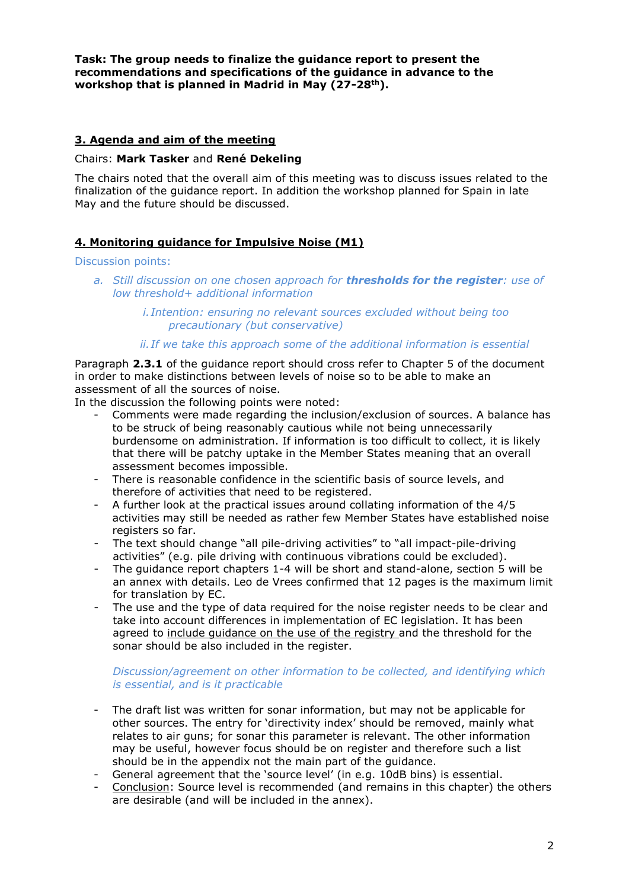**Task: The group needs to finalize the guidance report to present the recommendations and specifications of the guidance in advance to the workshop that is planned in Madrid in May (27-28th).**

#### **3. Agenda and aim of the meeting**

#### Chairs: **Mark Tasker** and **René Dekeling**

The chairs noted that the overall aim of this meeting was to discuss issues related to the finalization of the guidance report. In addition the workshop planned for Spain in late May and the future should be discussed.

#### **4. Monitoring guidance for Impulsive Noise (M1)**

Discussion points:

*a. Still discussion on one chosen approach for thresholds for the register: use of low threshold+ additional information*

> *i. Intention: ensuring no relevant sources excluded without being too precautionary (but conservative)*

#### *ii. If we take this approach some of the additional information is essential*

Paragraph **2.3.1** of the guidance report should cross refer to Chapter 5 of the document in order to make distinctions between levels of noise so to be able to make an assessment of all the sources of noise.

In the discussion the following points were noted:

- Comments were made regarding the inclusion/exclusion of sources. A balance has to be struck of being reasonably cautious while not being unnecessarily burdensome on administration. If information is too difficult to collect, it is likely that there will be patchy uptake in the Member States meaning that an overall assessment becomes impossible.
- There is reasonable confidence in the scientific basis of source levels, and therefore of activities that need to be registered.
- A further look at the practical issues around collating information of the 4/5 activities may still be needed as rather few Member States have established noise registers so far.
- The text should change "all pile-driving activities" to "all impact-pile-driving activities" (e.g. pile driving with continuous vibrations could be excluded).
- The guidance report chapters 1-4 will be short and stand-alone, section 5 will be an annex with details. Leo de Vrees confirmed that 12 pages is the maximum limit for translation by EC.
- The use and the type of data required for the noise register needs to be clear and take into account differences in implementation of EC legislation. It has been agreed to include guidance on the use of the registry and the threshold for the sonar should be also included in the register.

#### *Discussion/agreement on other information to be collected, and identifying which is essential, and is it practicable*

- The draft list was written for sonar information, but may not be applicable for other sources. The entry for 'directivity index' should be removed, mainly what relates to air guns; for sonar this parameter is relevant. The other information may be useful, however focus should be on register and therefore such a list should be in the appendix not the main part of the guidance.
- General agreement that the 'source level' (in e.g. 10dB bins) is essential.
- Conclusion: Source level is recommended (and remains in this chapter) the others are desirable (and will be included in the annex).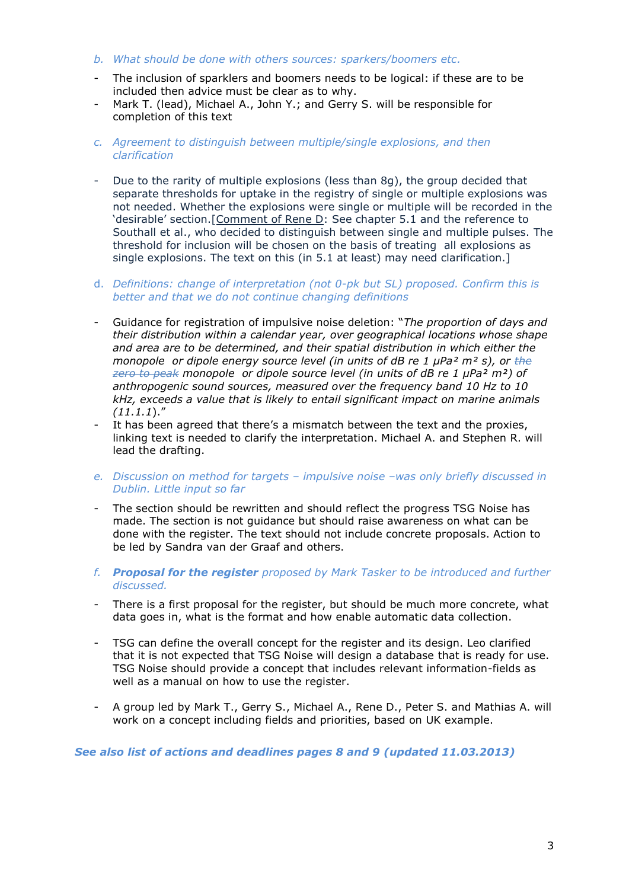- *b. What should be done with others sources: sparkers/boomers etc.*
- The inclusion of sparklers and boomers needs to be logical: if these are to be included then advice must be clear as to why.
- Mark T. (lead), Michael A., John Y.; and Gerry S. will be responsible for completion of this text
- *c. Agreement to distinguish between multiple/single explosions, and then clarification*
- Due to the rarity of multiple explosions (less than 8g), the group decided that separate thresholds for uptake in the registry of single or multiple explosions was not needed. Whether the explosions were single or multiple will be recorded in the 'desirable' section.[Comment of Rene D: See chapter 5.1 and the reference to Southall et al., who decided to distinguish between single and multiple pulses. The threshold for inclusion will be chosen on the basis of treating all explosions as single explosions. The text on this (in 5.1 at least) may need clarification.]
- d. *Definitions: change of interpretation (not 0-pk but SL) proposed. Confirm this is better and that we do not continue changing definitions*
- Guidance for registration of impulsive noise deletion: "*The proportion of days and their distribution within a calendar year, over geographical locations whose shape and area are to be determined, and their spatial distribution in which either the monopole or dipole energy source level (in units of dB re 1 µPa² m² s), or the zero to peak monopole or dipole source level (in units of dB re 1 µPa² m²) of anthropogenic sound sources, measured over the frequency band 10 Hz to 10 kHz, exceeds a value that is likely to entail significant impact on marine animals (11.1.1*)."
- It has been agreed that there's a mismatch between the text and the proxies, linking text is needed to clarify the interpretation. Michael A. and Stephen R. will lead the drafting.
- *e. Discussion on method for targets – impulsive noise –was only briefly discussed in Dublin. Little input so far*
- The section should be rewritten and should reflect the progress TSG Noise has made. The section is not guidance but should raise awareness on what can be done with the register. The text should not include concrete proposals. Action to be led by Sandra van der Graaf and others.
- *f. Proposal for the register proposed by Mark Tasker to be introduced and further discussed.*
- There is a first proposal for the register, but should be much more concrete, what data goes in, what is the format and how enable automatic data collection.
- TSG can define the overall concept for the register and its design. Leo clarified that it is not expected that TSG Noise will design a database that is ready for use. TSG Noise should provide a concept that includes relevant information-fields as well as a manual on how to use the register.
- A group led by Mark T., Gerry S., Michael A., Rene D., Peter S. and Mathias A. will work on a concept including fields and priorities, based on UK example.

*See also list of actions and deadlines pages 8 and 9 (updated 11.03.2013)*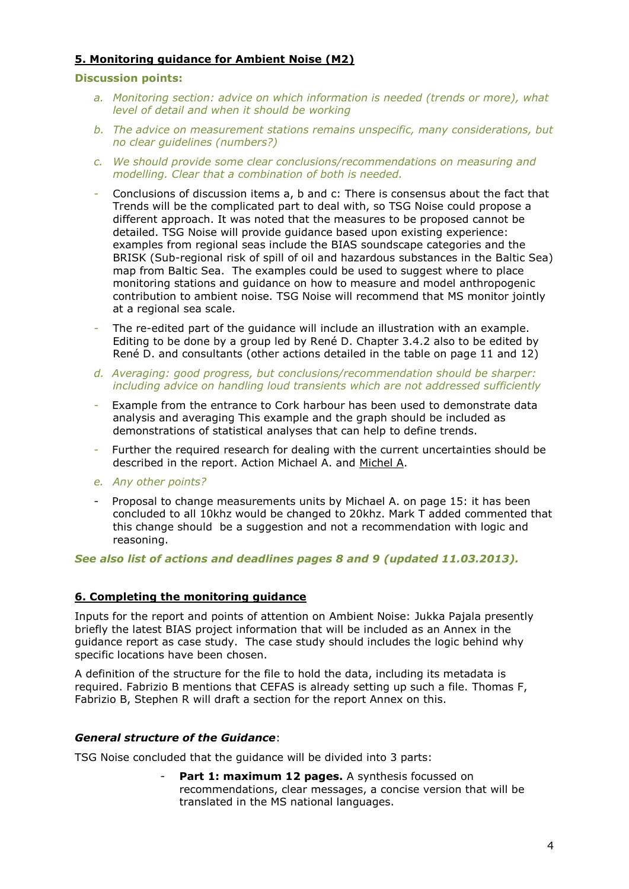### **5. Monitoring guidance for Ambient Noise (M2)**

#### **Discussion points:**

- *a. Monitoring section: advice on which information is needed (trends or more), what level of detail and when it should be working*
- *b. The advice on measurement stations remains unspecific, many considerations, but no clear guidelines (numbers?)*
- *c. We should provide some clear conclusions/recommendations on measuring and modelling. Clear that a combination of both is needed.*
- Conclusions of discussion items a, b and c: There is consensus about the fact that Trends will be the complicated part to deal with, so TSG Noise could propose a different approach. It was noted that the measures to be proposed cannot be detailed. TSG Noise will provide guidance based upon existing experience: examples from regional seas include the BIAS soundscape categories and the BRISK (Sub-regional risk of spill of oil and hazardous substances in the Baltic Sea) map from Baltic Sea. The examples could be used to suggest where to place monitoring stations and guidance on how to measure and model anthropogenic contribution to ambient noise. TSG Noise will recommend that MS monitor jointly at a regional sea scale.
- The re-edited part of the guidance will include an illustration with an example. Editing to be done by a group led by René D. Chapter 3.4.2 also to be edited by René D. and consultants (other actions detailed in the table on page 11 and 12)
- *d. Averaging: good progress, but conclusions/recommendation should be sharper: including advice on handling loud transients which are not addressed sufficiently*
- Example from the entrance to Cork harbour has been used to demonstrate data analysis and averaging This example and the graph should be included as demonstrations of statistical analyses that can help to define trends.
- Further the required research for dealing with the current uncertainties should be described in the report. Action Michael A. and Michel A.
- *e. Any other points?*
- Proposal to change measurements units by Michael A. on page 15: it has been concluded to all 10khz would be changed to 20khz. Mark T added commented that this change should be a suggestion and not a recommendation with logic and reasoning.

*See also list of actions and deadlines pages 8 and 9 (updated 11.03.2013).*

#### **6. Completing the monitoring guidance**

Inputs for the report and points of attention on Ambient Noise: Jukka Pajala presently briefly the latest BIAS project information that will be included as an Annex in the guidance report as case study. The case study should includes the logic behind why specific locations have been chosen.

A definition of the structure for the file to hold the data, including its metadata is required. Fabrizio B mentions that CEFAS is already setting up such a file. Thomas F, Fabrizio B, Stephen R will draft a section for the report Annex on this.

#### *General structure of the Guidance*:

TSG Noise concluded that the guidance will be divided into 3 parts:

**Part 1: maximum 12 pages.** A synthesis focussed on recommendations, clear messages, a concise version that will be translated in the MS national languages.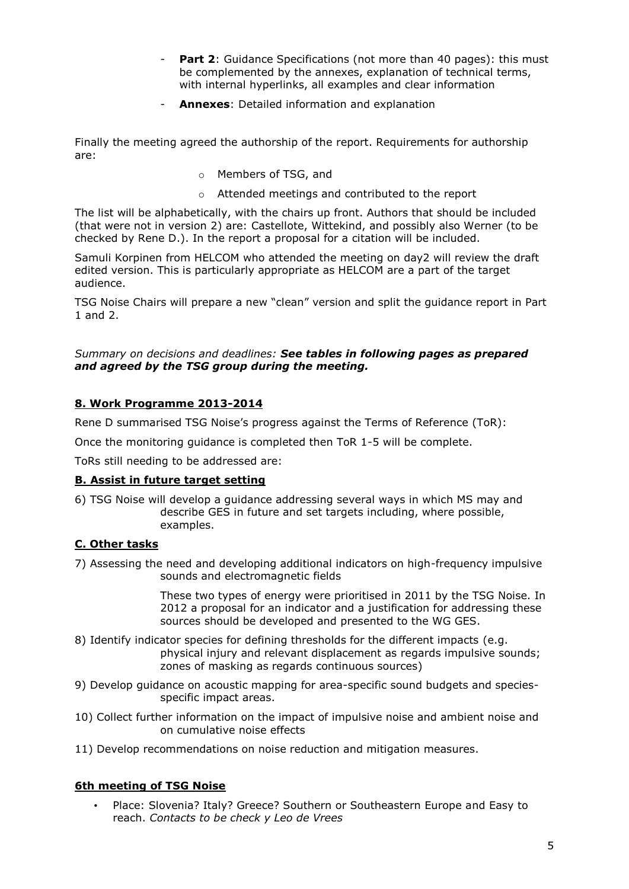- **Part 2**: Guidance Specifications (not more than 40 pages): this must be complemented by the annexes, explanation of technical terms, with internal hyperlinks, all examples and clear information
- **Annexes:** Detailed information and explanation

Finally the meeting agreed the authorship of the report. Requirements for authorship are:

- o Members of TSG, and
- o Attended meetings and contributed to the report

The list will be alphabetically, with the chairs up front. Authors that should be included (that were not in version 2) are: Castellote, Wittekind, and possibly also Werner (to be checked by Rene D.). In the report a proposal for a citation will be included.

Samuli Korpinen from HELCOM who attended the meeting on day2 will review the draft edited version. This is particularly appropriate as HELCOM are a part of the target audience.

TSG Noise Chairs will prepare a new "clean" version and split the guidance report in Part 1 and 2.

#### *Summary on decisions and deadlines: See tables in following pages as prepared and agreed by the TSG group during the meeting.*

#### **8. Work Programme 2013-2014**

Rene D summarised TSG Noise's progress against the Terms of Reference (ToR):

Once the monitoring guidance is completed then ToR 1-5 will be complete.

ToRs still needing to be addressed are:

#### **B. Assist in future target setting**

6) TSG Noise will develop a guidance addressing several ways in which MS may and describe GES in future and set targets including, where possible, examples.

#### **C. Other tasks**

7) Assessing the need and developing additional indicators on high-frequency impulsive sounds and electromagnetic fields

> These two types of energy were prioritised in 2011 by the TSG Noise. In 2012 a proposal for an indicator and a justification for addressing these sources should be developed and presented to the WG GES.

- 8) Identify indicator species for defining thresholds for the different impacts (e.g. physical injury and relevant displacement as regards impulsive sounds; zones of masking as regards continuous sources)
- 9) Develop guidance on acoustic mapping for area-specific sound budgets and speciesspecific impact areas.
- 10) Collect further information on the impact of impulsive noise and ambient noise and on cumulative noise effects
- 11) Develop recommendations on noise reduction and mitigation measures.

#### **6th meeting of TSG Noise**

• Place: Slovenia? Italy? Greece? Southern or Southeastern Europe and Easy to reach. *Contacts to be check y Leo de Vrees*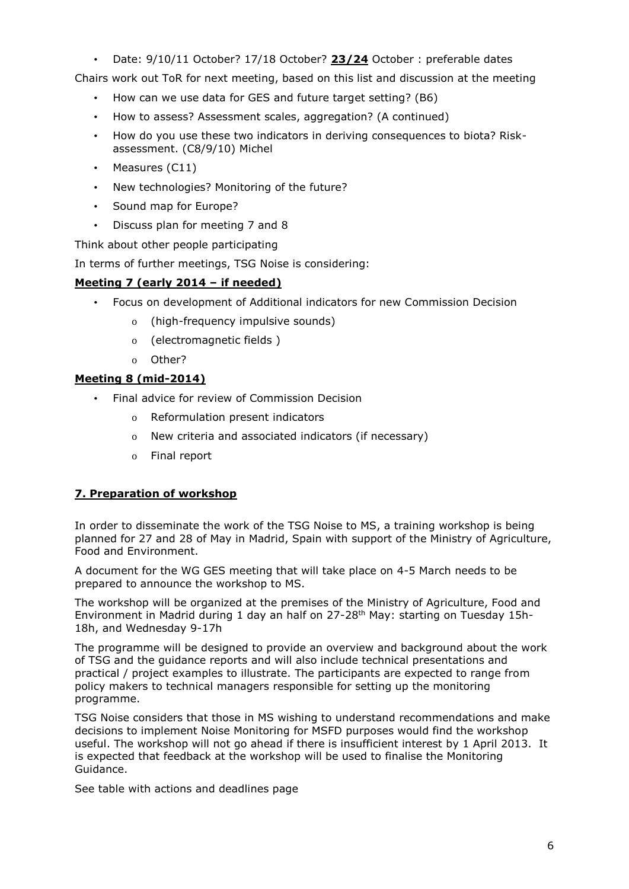• Date: 9/10/11 October? 17/18 October? **23/24** October : preferable dates

Chairs work out ToR for next meeting, based on this list and discussion at the meeting

- How can we use data for GES and future target setting? (B6)
- How to assess? Assessment scales, aggregation? (A continued)
- How do you use these two indicators in deriving consequences to biota? Riskassessment. (C8/9/10) Michel
- Measures (C11)
- New technologies? Monitoring of the future?
- Sound map for Europe?
- Discuss plan for meeting 7 and 8

Think about other people participating

In terms of further meetings, TSG Noise is considering:

### **Meeting 7 (early 2014 – if needed)**

- Focus on development of Additional indicators for new Commission Decision
	- o (high-frequency impulsive sounds)
	- o (electromagnetic fields )
	- o Other?

### **Meeting 8 (mid-2014)**

- Final advice for review of Commission Decision
	- o Reformulation present indicators
	- o New criteria and associated indicators (if necessary)
	- o Final report

### **7. Preparation of workshop**

In order to disseminate the work of the TSG Noise to MS, a training workshop is being planned for 27 and 28 of May in Madrid, Spain with support of the Ministry of Agriculture, Food and Environment.

A document for the WG GES meeting that will take place on 4-5 March needs to be prepared to announce the workshop to MS.

The workshop will be organized at the premises of the Ministry of Agriculture, Food and Environment in Madrid during 1 day an half on 27-28th May: starting on Tuesday 15h-18h, and Wednesday 9-17h

The programme will be designed to provide an overview and background about the work of TSG and the guidance reports and will also include technical presentations and practical / project examples to illustrate. The participants are expected to range from policy makers to technical managers responsible for setting up the monitoring programme.

TSG Noise considers that those in MS wishing to understand recommendations and make decisions to implement Noise Monitoring for MSFD purposes would find the workshop useful. The workshop will not go ahead if there is insufficient interest by 1 April 2013. It is expected that feedback at the workshop will be used to finalise the Monitoring Guidance.

See table with actions and deadlines page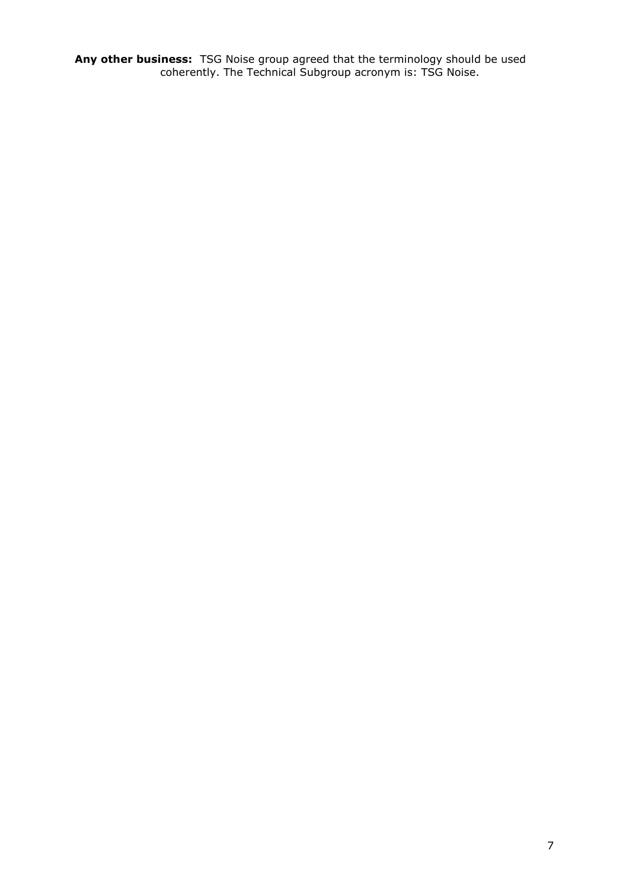**Any other business:** TSG Noise group agreed that the terminology should be used coherently. The Technical Subgroup acronym is: TSG Noise.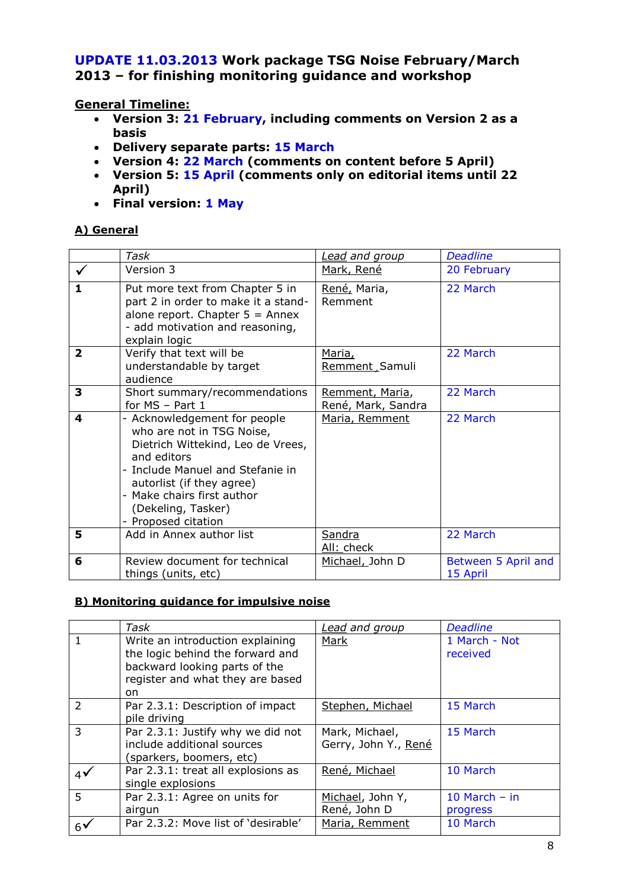## **UPDATE 11.03.2013 Work package TSG Noise February/March 2013 – for finishing monitoring guidance and workshop**

## **General Timeline:**

- **Version 3: 21 February, including comments on Version 2 as a basis**
- **Delivery separate parts: 15 March**
- **Version 4: 22 March (comments on content before 5 April)**
- **Version 5: 15 April (comments only on editorial items until 22 April)**
- **Final version: 1 May**

## **A) General**

|                         | Task                                                                                                                                                                                                                                                    | Lead and group                        | <b>Deadline</b>                 |
|-------------------------|---------------------------------------------------------------------------------------------------------------------------------------------------------------------------------------------------------------------------------------------------------|---------------------------------------|---------------------------------|
|                         | Version 3                                                                                                                                                                                                                                               | Mark, René                            | 20 February                     |
| 1                       | Put more text from Chapter 5 in<br>part 2 in order to make it a stand-<br>alone report. Chapter $5 =$ Annex<br>- add motivation and reasoning,<br>explain logic                                                                                         | René, Maria,<br>Remment               | 22 March                        |
| $\overline{\mathbf{2}}$ | Verify that text will be<br>understandable by target<br>audience                                                                                                                                                                                        | Maria,<br>Remment Samuli              | 22 March                        |
| 3                       | Short summary/recommendations<br>for $MS - Part 1$                                                                                                                                                                                                      | Remment, Maria,<br>René, Mark, Sandra | 22 March                        |
| 4                       | - Acknowledgement for people<br>who are not in TSG Noise,<br>Dietrich Wittekind, Leo de Vrees,<br>and editors<br>Include Manuel and Stefanie in<br>autorlist (if they agree)<br>- Make chairs first author<br>(Dekeling, Tasker)<br>- Proposed citation | Maria, Remment                        | 22 March                        |
| 5                       | Add in Annex author list                                                                                                                                                                                                                                | Sandra<br>All: check                  | 22 March                        |
| 6                       | Review document for technical<br>things (units, etc)                                                                                                                                                                                                    | Michael, John D                       | Between 5 April and<br>15 April |

### **B) Monitoring guidance for impulsive noise**

|               | Task                                                                                                                                             | <b>Lead and group</b>                  | <b>Deadline</b>             |
|---------------|--------------------------------------------------------------------------------------------------------------------------------------------------|----------------------------------------|-----------------------------|
| 1             | Write an introduction explaining<br>the logic behind the forward and<br>backward looking parts of the<br>register and what they are based<br>on. | Mark                                   | 1 March - Not<br>received   |
| $\mathcal{P}$ | Par 2.3.1: Description of impact<br>pile driving                                                                                                 | Stephen, Michael                       | 15 March                    |
| 3             | Par 2.3.1: Justify why we did not<br>include additional sources<br>(sparkers, boomers, etc)                                                      | Mark, Michael,<br>Gerry, John Y., René | 15 March                    |
| 4V            | Par 2.3.1: treat all explosions as<br>single explosions                                                                                          | René, Michael                          | 10 March                    |
| 5             | Par 2.3.1: Agree on units for<br>airgun                                                                                                          | Michael, John Y,<br>René, John D       | 10 March $-$ in<br>progress |
| 6V            | Par 2.3.2: Move list of 'desirable'                                                                                                              | Maria, Remment                         | 10 March                    |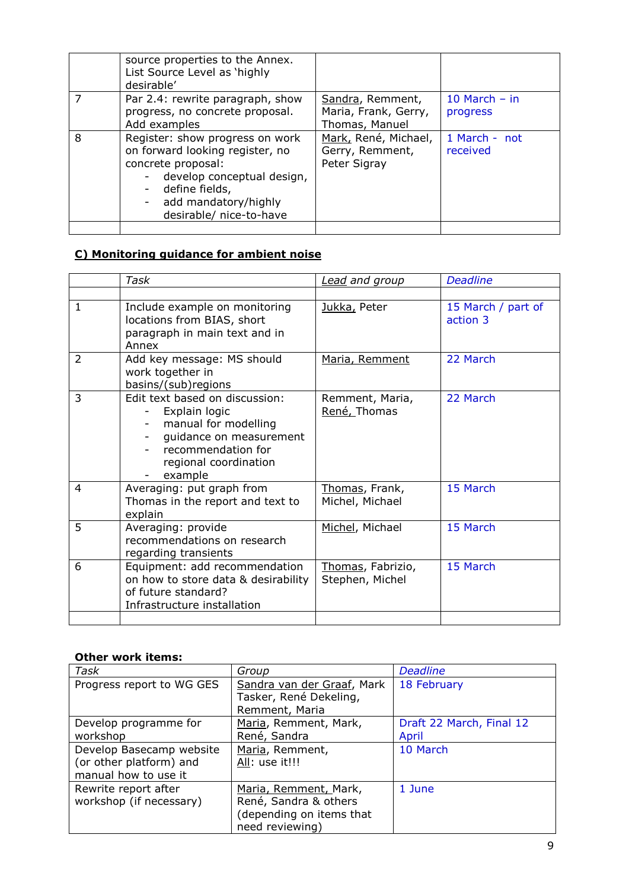|   | source properties to the Annex.<br>List Source Level as 'highly<br>desirable'                                                                                                               |                                                            |                             |
|---|---------------------------------------------------------------------------------------------------------------------------------------------------------------------------------------------|------------------------------------------------------------|-----------------------------|
|   | Par 2.4: rewrite paragraph, show<br>progress, no concrete proposal.<br>Add examples                                                                                                         | Sandra, Remment,<br>Maria, Frank, Gerry,<br>Thomas, Manuel | 10 March $-$ in<br>progress |
| 8 | Register: show progress on work<br>on forward looking register, no<br>concrete proposal:<br>develop conceptual design,<br>define fields,<br>add mandatory/highly<br>desirable/ nice-to-have | Mark, René, Michael,<br>Gerry, Remment,<br>Peter Sigray    | 1 March - not<br>received   |
|   |                                                                                                                                                                                             |                                                            |                             |

# **C) Monitoring guidance for ambient noise**

|                | Task                                                                                                                                                                                     | <b>Lead</b> and group                | <b>Deadline</b>                |
|----------------|------------------------------------------------------------------------------------------------------------------------------------------------------------------------------------------|--------------------------------------|--------------------------------|
|                |                                                                                                                                                                                          |                                      |                                |
| $\mathbf{1}$   | Include example on monitoring<br>locations from BIAS, short<br>paragraph in main text and in<br>Annex                                                                                    | Jukka, Peter                         | 15 March / part of<br>action 3 |
| $\overline{2}$ | Add key message: MS should<br>work together in<br>basins/(sub)regions                                                                                                                    | Maria, Remment                       | 22 March                       |
| 3              | Edit text based on discussion:<br>Explain logic<br>manual for modelling<br>$\overline{\phantom{a}}$<br>guidance on measurement<br>recommendation for<br>regional coordination<br>example | Remment, Maria,<br>René, Thomas      | 22 March                       |
| $\overline{4}$ | Averaging: put graph from<br>Thomas in the report and text to<br>explain                                                                                                                 | Thomas, Frank,<br>Michel, Michael    | 15 March                       |
| 5              | Averaging: provide<br>recommendations on research<br>regarding transients                                                                                                                | Michel, Michael                      | 15 March                       |
| 6              | Equipment: add recommendation<br>on how to store data & desirability<br>of future standard?<br>Infrastructure installation                                                               | Thomas, Fabrizio,<br>Stephen, Michel | 15 March                       |
|                |                                                                                                                                                                                          |                                      |                                |

### **Other work items:**

| Task                      | Group                      | <b>Deadline</b>          |
|---------------------------|----------------------------|--------------------------|
| Progress report to WG GES | Sandra van der Graaf, Mark | 18 February              |
|                           | Tasker, René Dekeling,     |                          |
|                           | Remment, Maria             |                          |
| Develop programme for     | Maria, Remment, Mark,      | Draft 22 March, Final 12 |
| workshop                  | René, Sandra               | April                    |
| Develop Basecamp website  | Maria, Remment,            | 10 March                 |
| (or other platform) and   | All: use it!!!             |                          |
| manual how to use it      |                            |                          |
| Rewrite report after      | Maria, Remment, Mark,      | 1 June                   |
| workshop (if necessary)   | René, Sandra & others      |                          |
|                           | (depending on items that   |                          |
|                           | need reviewing)            |                          |